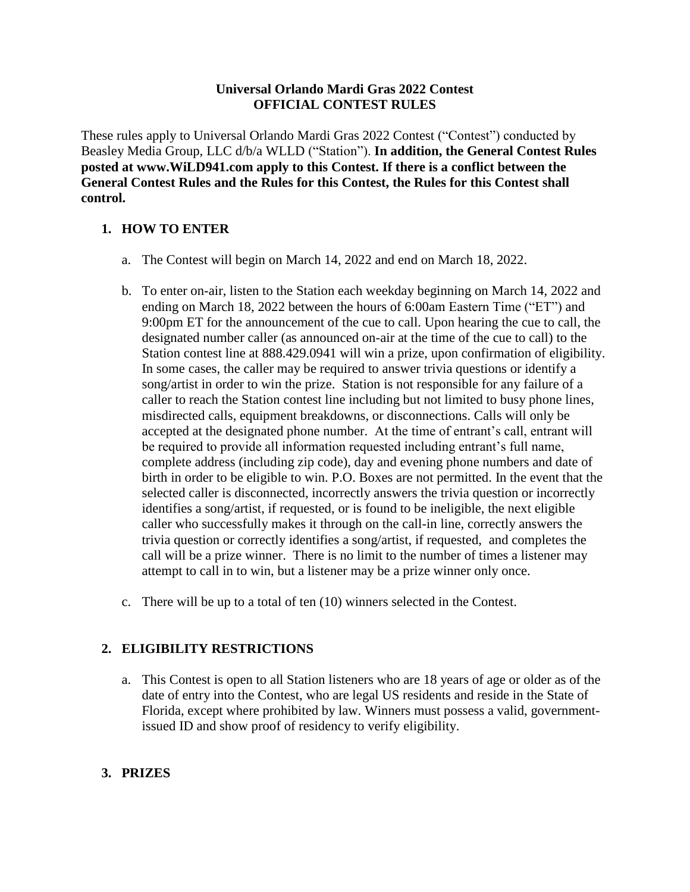#### **Universal Orlando Mardi Gras 2022 Contest OFFICIAL CONTEST RULES**

These rules apply to Universal Orlando Mardi Gras 2022 Contest ("Contest") conducted by Beasley Media Group, LLC d/b/a WLLD ("Station"). **In addition, the General Contest Rules posted at www.WiLD941.com apply to this Contest. If there is a conflict between the General Contest Rules and the Rules for this Contest, the Rules for this Contest shall control.**

# **1. HOW TO ENTER**

- a. The Contest will begin on March 14, 2022 and end on March 18, 2022.
- b. To enter on-air, listen to the Station each weekday beginning on March 14, 2022 and ending on March 18, 2022 between the hours of 6:00am Eastern Time ("ET") and 9:00pm ET for the announcement of the cue to call. Upon hearing the cue to call, the designated number caller (as announced on-air at the time of the cue to call) to the Station contest line at 888.429.0941 will win a prize, upon confirmation of eligibility. In some cases, the caller may be required to answer trivia questions or identify a song/artist in order to win the prize. Station is not responsible for any failure of a caller to reach the Station contest line including but not limited to busy phone lines, misdirected calls, equipment breakdowns, or disconnections. Calls will only be accepted at the designated phone number. At the time of entrant's call, entrant will be required to provide all information requested including entrant's full name, complete address (including zip code), day and evening phone numbers and date of birth in order to be eligible to win. P.O. Boxes are not permitted. In the event that the selected caller is disconnected, incorrectly answers the trivia question or incorrectly identifies a song/artist, if requested, or is found to be ineligible, the next eligible caller who successfully makes it through on the call-in line, correctly answers the trivia question or correctly identifies a song/artist, if requested, and completes the call will be a prize winner. There is no limit to the number of times a listener may attempt to call in to win, but a listener may be a prize winner only once.
- c. There will be up to a total of ten (10) winners selected in the Contest.

## **2. ELIGIBILITY RESTRICTIONS**

a. This Contest is open to all Station listeners who are 18 years of age or older as of the date of entry into the Contest, who are legal US residents and reside in the State of Florida, except where prohibited by law. Winners must possess a valid, governmentissued ID and show proof of residency to verify eligibility.

## **3. PRIZES**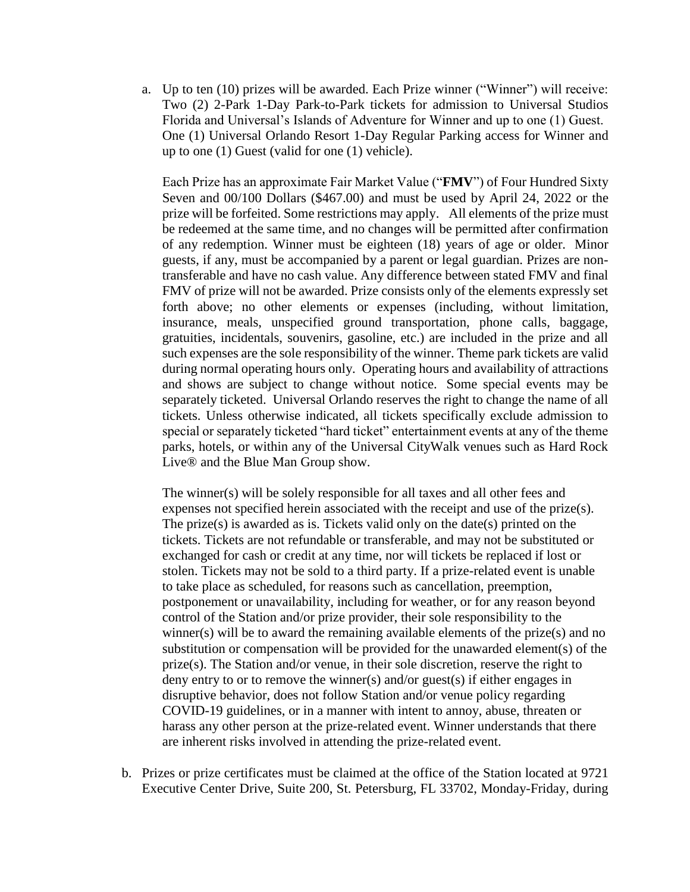a. Up to ten (10) prizes will be awarded. Each Prize winner ("Winner") will receive: Two (2) 2-Park 1-Day Park-to-Park tickets for admission to Universal Studios Florida and Universal's Islands of Adventure for Winner and up to one (1) Guest. One (1) Universal Orlando Resort 1-Day Regular Parking access for Winner and up to one (1) Guest (valid for one (1) vehicle).

Each Prize has an approximate Fair Market Value ("**FMV**") of Four Hundred Sixty Seven and 00/100 Dollars (\$467.00) and must be used by April 24, 2022 or the prize will be forfeited. Some restrictions may apply. All elements of the prize must be redeemed at the same time, and no changes will be permitted after confirmation of any redemption. Winner must be eighteen (18) years of age or older. Minor guests, if any, must be accompanied by a parent or legal guardian. Prizes are nontransferable and have no cash value. Any difference between stated FMV and final FMV of prize will not be awarded. Prize consists only of the elements expressly set forth above; no other elements or expenses (including, without limitation, insurance, meals, unspecified ground transportation, phone calls, baggage, gratuities, incidentals, souvenirs, gasoline, etc.) are included in the prize and all such expenses are the sole responsibility of the winner. Theme park tickets are valid during normal operating hours only. Operating hours and availability of attractions and shows are subject to change without notice. Some special events may be separately ticketed. Universal Orlando reserves the right to change the name of all tickets. Unless otherwise indicated, all tickets specifically exclude admission to special or separately ticketed "hard ticket" entertainment events at any of the theme parks, hotels, or within any of the Universal CityWalk venues such as Hard Rock Live® and the Blue Man Group show.

The winner(s) will be solely responsible for all taxes and all other fees and expenses not specified herein associated with the receipt and use of the prize(s). The prize(s) is awarded as is. Tickets valid only on the date(s) printed on the tickets. Tickets are not refundable or transferable, and may not be substituted or exchanged for cash or credit at any time, nor will tickets be replaced if lost or stolen. Tickets may not be sold to a third party. If a prize-related event is unable to take place as scheduled, for reasons such as cancellation, preemption, postponement or unavailability, including for weather, or for any reason beyond control of the Station and/or prize provider, their sole responsibility to the winner(s) will be to award the remaining available elements of the prize(s) and no substitution or compensation will be provided for the unawarded element(s) of the prize(s). The Station and/or venue, in their sole discretion, reserve the right to deny entry to or to remove the winner(s) and/or guest(s) if either engages in disruptive behavior, does not follow Station and/or venue policy regarding COVID-19 guidelines, or in a manner with intent to annoy, abuse, threaten or harass any other person at the prize-related event. Winner understands that there are inherent risks involved in attending the prize-related event.

b. Prizes or prize certificates must be claimed at the office of the Station located at 9721 Executive Center Drive, Suite 200, St. Petersburg, FL 33702, Monday-Friday, during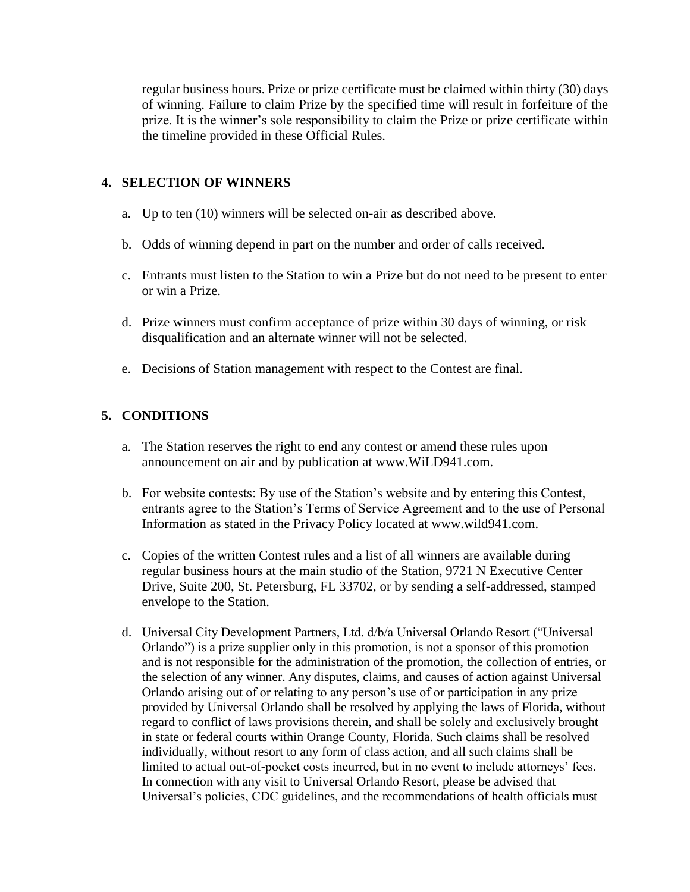regular business hours. Prize or prize certificate must be claimed within thirty (30) days of winning. Failure to claim Prize by the specified time will result in forfeiture of the prize. It is the winner's sole responsibility to claim the Prize or prize certificate within the timeline provided in these Official Rules.

#### **4. SELECTION OF WINNERS**

- a. Up to ten (10) winners will be selected on-air as described above.
- b. Odds of winning depend in part on the number and order of calls received.
- c. Entrants must listen to the Station to win a Prize but do not need to be present to enter or win a Prize.
- d. Prize winners must confirm acceptance of prize within 30 days of winning, or risk disqualification and an alternate winner will not be selected.
- e. Decisions of Station management with respect to the Contest are final.

## **5. CONDITIONS**

- a. The Station reserves the right to end any contest or amend these rules upon announcement on air and by publication at www.WiLD941.com.
- b. For website contests: By use of the Station's website and by entering this Contest, entrants agree to the Station's Terms of Service Agreement and to the use of Personal Information as stated in the Privacy Policy located at www.wild941.com.
- c. Copies of the written Contest rules and a list of all winners are available during regular business hours at the main studio of the Station, 9721 N Executive Center Drive, Suite 200, St. Petersburg, FL 33702, or by sending a self-addressed, stamped envelope to the Station.
- d. Universal City Development Partners, Ltd. d/b/a Universal Orlando Resort ("Universal Orlando") is a prize supplier only in this promotion, is not a sponsor of this promotion and is not responsible for the administration of the promotion, the collection of entries, or the selection of any winner. Any disputes, claims, and causes of action against Universal Orlando arising out of or relating to any person's use of or participation in any prize provided by Universal Orlando shall be resolved by applying the laws of Florida, without regard to conflict of laws provisions therein, and shall be solely and exclusively brought in state or federal courts within Orange County, Florida. Such claims shall be resolved individually, without resort to any form of class action, and all such claims shall be limited to actual out-of-pocket costs incurred, but in no event to include attorneys' fees. In connection with any visit to Universal Orlando Resort, please be advised that Universal's policies, CDC guidelines, and the recommendations of health officials must